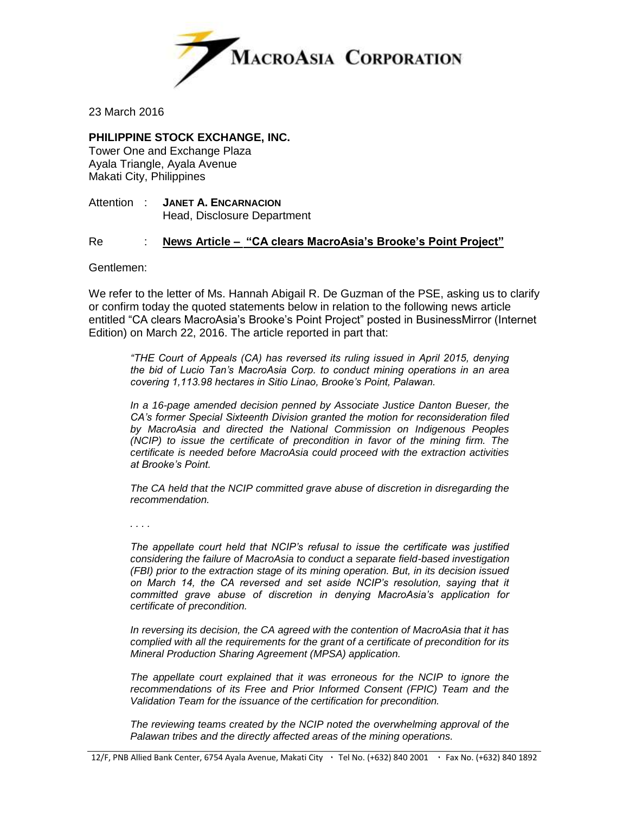

23 March 2016

## **PHILIPPINE STOCK EXCHANGE, INC.**

Tower One and Exchange Plaza Ayala Triangle, Ayala Avenue Makati City, Philippines

Attention : **JANET A. ENCARNACION** Head, Disclosure Department

## Re : **News Article – "CA clears MacroAsia's Brooke's Point Project"**

## Gentlemen:

We refer to the letter of Ms. Hannah Abigail R. De Guzman of the PSE, asking us to clarify or confirm today the quoted statements below in relation to the following news article entitled "CA clears MacroAsia's Brooke's Point Project" posted in BusinessMirror (Internet Edition) on March 22, 2016. The article reported in part that:

*"THE Court of Appeals (CA) has reversed its ruling issued in April 2015, denying the bid of Lucio Tan's MacroAsia Corp. to conduct mining operations in an area covering 1,113.98 hectares in Sitio Linao, Brooke's Point, Palawan.*

*In a 16-page amended decision penned by Associate Justice Danton Bueser, the CA's former Special Sixteenth Division granted the motion for reconsideration filed by MacroAsia and directed the National Commission on Indigenous Peoples (NCIP) to issue the certificate of precondition in favor of the mining firm. The certificate is needed before MacroAsia could proceed with the extraction activities at Brooke's Point.*

*The CA held that the NCIP committed grave abuse of discretion in disregarding the recommendation.*

*. . . .*

*The appellate court held that NCIP's refusal to issue the certificate was justified considering the failure of MacroAsia to conduct a separate field-based investigation (FBI) prior to the extraction stage of its mining operation. But, in its decision issued on March 14, the CA reversed and set aside NCIP's resolution, saying that it committed grave abuse of discretion in denying MacroAsia's application for certificate of precondition.*

*In reversing its decision, the CA agreed with the contention of MacroAsia that it has complied with all the requirements for the grant of a certificate of precondition for its Mineral Production Sharing Agreement (MPSA) application.*

*The appellate court explained that it was erroneous for the NCIP to ignore the recommendations of its Free and Prior Informed Consent (FPIC) Team and the Validation Team for the issuance of the certification for precondition.*

*The reviewing teams created by the NCIP noted the overwhelming approval of the Palawan tribes and the directly affected areas of the mining operations.*